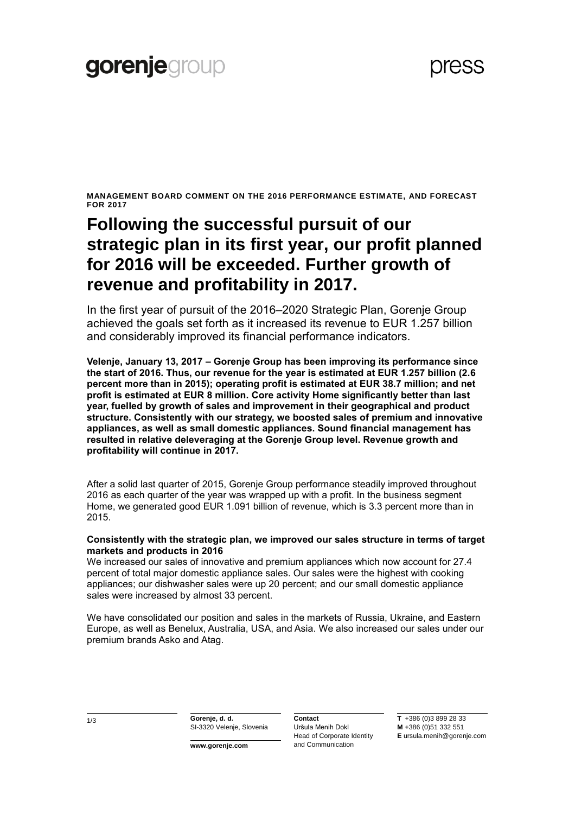**MANAGEMENT BOARD COMMENT ON THE 2016 PERFORMANCE ESTIMATE, AND FORECAST FOR 2017**

### **Following the successful pursuit of our strategic plan in its first year, our profit planned for 2016 will be exceeded. Further growth of revenue and profitability in 2017.**

In the first year of pursuit of the 2016–2020 Strategic Plan, Gorenje Group achieved the goals set forth as it increased its revenue to EUR 1.257 billion and considerably improved its financial performance indicators.

**Velenje, January 13, 2017 – Gorenje Group has been improving its performance since the start of 2016. Thus, our revenue for the year is estimated at EUR 1.257 billion (2.6 percent more than in 2015); operating profit is estimated at EUR 38.7 million; and net profit is estimated at EUR 8 million. Core activity Home significantly better than last year, fuelled by growth of sales and improvement in their geographical and product structure. Consistently with our strategy, we boosted sales of premium and innovative appliances, as well as small domestic appliances. Sound financial management has resulted in relative deleveraging at the Gorenje Group level. Revenue growth and profitability will continue in 2017.**

After a solid last quarter of 2015, Gorenje Group performance steadily improved throughout 2016 as each quarter of the year was wrapped up with a profit. In the business segment Home, we generated good EUR 1.091 billion of revenue, which is 3.3 percent more than in 2015.

#### **Consistently with the strategic plan, we improved our sales structure in terms of target markets and products in 2016**

We increased our sales of innovative and premium appliances which now account for 27.4 percent of total major domestic appliance sales. Our sales were the highest with cooking appliances; our dishwasher sales were up 20 percent; and our small domestic appliance sales were increased by almost 33 percent.

We have consolidated our position and sales in the markets of Russia, Ukraine, and Eastern Europe, as well as Benelux, Australia, USA, and Asia. We also increased our sales under our premium brands Asko and Atag.

1/3 **Gorenje, d. d.** SI-3320 Velenje, Slovenia

**www.gorenje.com**

**Contact** Uršula Menih Dokl Head of Corporate Identity and Communication

**T** +386 (0)3 899 28 33 **M** +386 (0)51 332 551 **E** ursula.menih@gorenje.com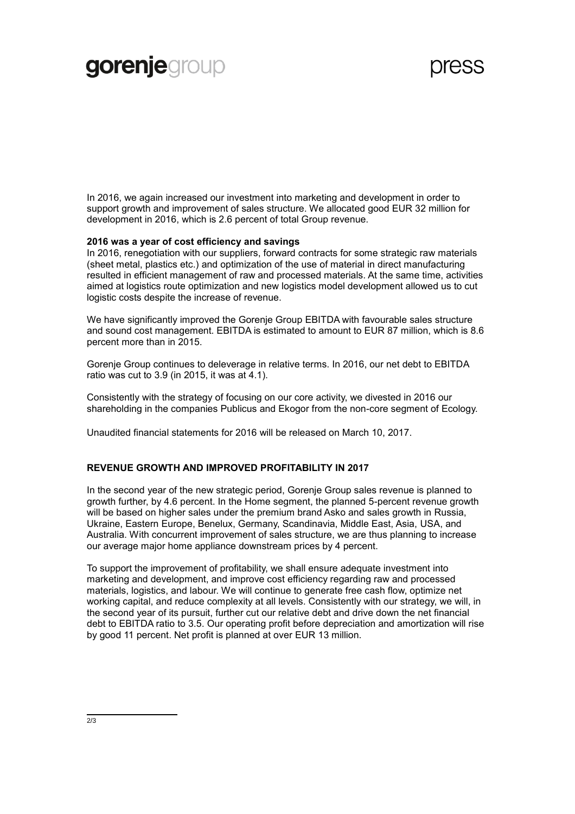# gorenjegroup

In 2016, we again increased our investment into marketing and development in order to support growth and improvement of sales structure. We allocated good EUR 32 million for development in 2016, which is 2.6 percent of total Group revenue.

#### **2016 was a year of cost efficiency and savings**

In 2016, renegotiation with our suppliers, forward contracts for some strategic raw materials (sheet metal, plastics etc.) and optimization of the use of material in direct manufacturing resulted in efficient management of raw and processed materials. At the same time, activities aimed at logistics route optimization and new logistics model development allowed us to cut logistic costs despite the increase of revenue.

We have significantly improved the Gorenje Group EBITDA with favourable sales structure and sound cost management. EBITDA is estimated to amount to EUR 87 million, which is 8.6 percent more than in 2015.

Gorenje Group continues to deleverage in relative terms. In 2016, our net debt to EBITDA ratio was cut to 3.9 (in 2015, it was at 4.1).

Consistently with the strategy of focusing on our core activity, we divested in 2016 our shareholding in the companies Publicus and Ekogor from the non-core segment of Ecology.

Unaudited financial statements for 2016 will be released on March 10, 2017.

#### **REVENUE GROWTH AND IMPROVED PROFITABILITY IN 2017**

In the second year of the new strategic period, Gorenje Group sales revenue is planned to growth further, by 4.6 percent. In the Home segment, the planned 5-percent revenue growth will be based on higher sales under the premium brand Asko and sales growth in Russia, Ukraine, Eastern Europe, Benelux, Germany, Scandinavia, Middle East, Asia, USA, and Australia. With concurrent improvement of sales structure, we are thus planning to increase our average major home appliance downstream prices by 4 percent.

To support the improvement of profitability, we shall ensure adequate investment into marketing and development, and improve cost efficiency regarding raw and processed materials, logistics, and labour. We will continue to generate free cash flow, optimize net working capital, and reduce complexity at all levels. Consistently with our strategy, we will, in the second year of its pursuit, further cut our relative debt and drive down the net financial debt to EBITDA ratio to 3.5. Our operating profit before depreciation and amortization will rise by good 11 percent. Net profit is planned at over EUR 13 million.